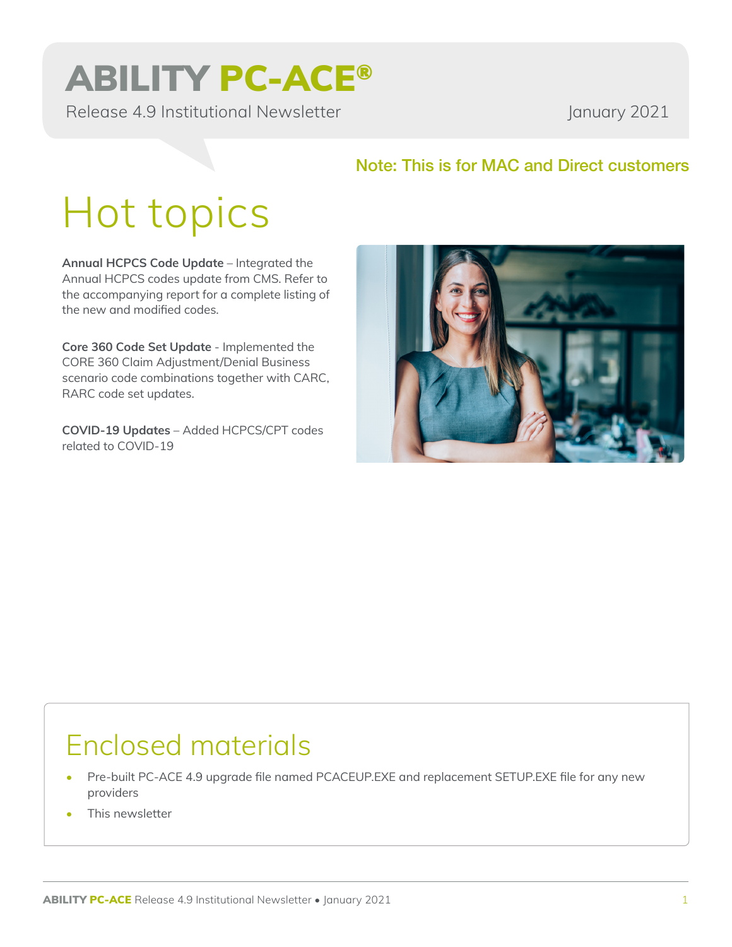## ABILITY PC-ACE®

Release 4.9 Institutional Newsletter January 2021

#### Note: This is for MAC and Direct customers

# Hot topics

**Annual HCPCS Code Update** – Integrated the Annual HCPCS codes update from CMS. Refer to the accompanying report for a complete listing of the new and modified codes.

**Core 360 Code Set Update** - Implemented the CORE 360 Claim Adjustment/Denial Business scenario code combinations together with CARC, RARC code set updates.

**COVID-19 Updates** – Added HCPCS/CPT codes related to COVID-19



### Enclosed materials

- Pre-built PC-ACE 4.9 upgrade file named PCACEUP.EXE and replacement SETUP.EXE file for any new providers
- This newsletter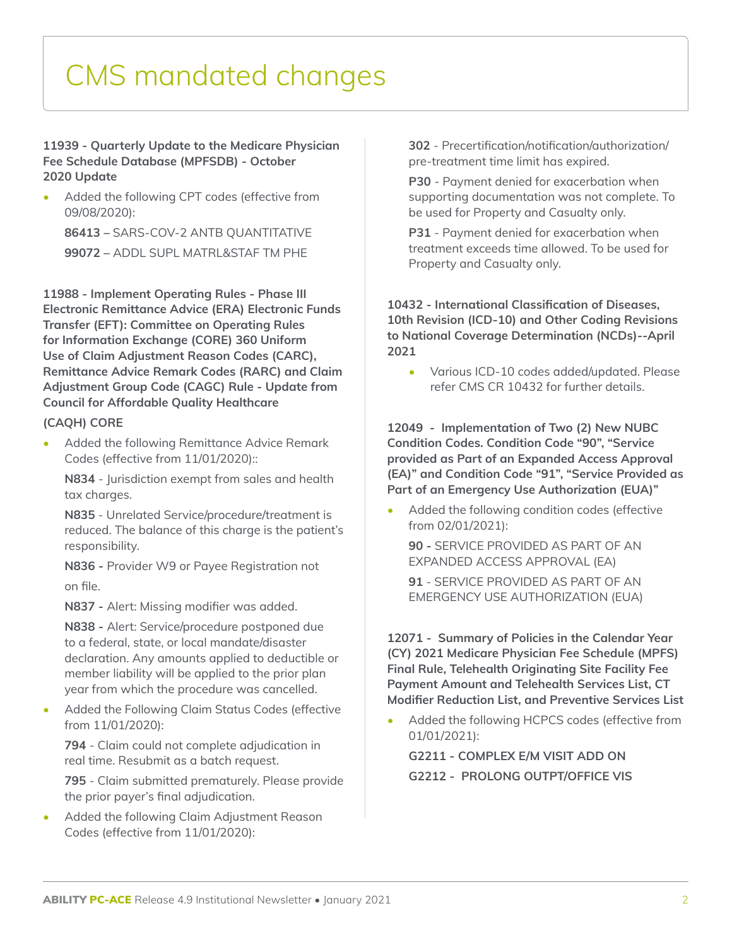### CMS mandated changes

#### **11939 - Quarterly Update to the Medicare Physician Fee Schedule Database (MPFSDB) - October 2020 Update**

Added the following CPT codes (effective from 09/08/2020):

**86413 –** SARS-COV-2 ANTB QUANTITATIVE **99072 –** ADDL SUPL MATRL&STAF TM PHE

**11988 - Implement Operating Rules - Phase III Electronic Remittance Advice (ERA) Electronic Funds Transfer (EFT): Committee on Operating Rules for Information Exchange (CORE) 360 Uniform Use of Claim Adjustment Reason Codes (CARC), Remittance Advice Remark Codes (RARC) and Claim Adjustment Group Code (CAGC) Rule - Update from Council for Affordable Quality Healthcare** 

#### **(CAQH) CORE**

• Added the following Remittance Advice Remark Codes (effective from 11/01/2020)::

**N834** - Jurisdiction exempt from sales and health tax charges.

**N835** - Unrelated Service/procedure/treatment is reduced. The balance of this charge is the patient's responsibility.

**N836 -** Provider W9 or Payee Registration not on file.

**N837 -** Alert: Missing modifier was added.

**N838 -** Alert: Service/procedure postponed due to a federal, state, or local mandate/disaster declaration. Any amounts applied to deductible or member liability will be applied to the prior plan year from which the procedure was cancelled.

• Added the Following Claim Status Codes (effective from 11/01/2020):

**794** - Claim could not complete adjudication in real time. Resubmit as a batch request.

**795** - Claim submitted prematurely. Please provide the prior payer's final adjudication.

• Added the following Claim Adjustment Reason Codes (effective from 11/01/2020):

**302** - Precertification/notification/authorization/ pre-treatment time limit has expired.

**P30** - Payment denied for exacerbation when supporting documentation was not complete. To be used for Property and Casualty only.

**P31** - Payment denied for exacerbation when treatment exceeds time allowed. To be used for Property and Casualty only.

**10432 - International Classification of Diseases, 10th Revision (ICD-10) and Other Coding Revisions to National Coverage Determination (NCDs)--April 2021**

• Various ICD-10 codes added/updated. Please refer CMS CR 10432 for further details.

**12049 - Implementation of Two (2) New NUBC Condition Codes. Condition Code "90", "Service provided as Part of an Expanded Access Approval (EA)" and Condition Code "91", "Service Provided as Part of an Emergency Use Authorization (EUA)"**

• Added the following condition codes (effective from 02/01/2021):

**90 -** SERVICE PROVIDED AS PART OF AN EXPANDED ACCESS APPROVAL (EA)

**91** - SERVICE PROVIDED AS PART OF AN EMERGENCY USE AUTHORIZATION (EUA)

**12071 - Summary of Policies in the Calendar Year (CY) 2021 Medicare Physician Fee Schedule (MPFS) Final Rule, Telehealth Originating Site Facility Fee Payment Amount and Telehealth Services List, CT Modifier Reduction List, and Preventive Services List**

Added the following HCPCS codes (effective from 01/01/2021):

**G2211 - COMPLEX E/M VISIT ADD ON G2212 - PROLONG OUTPT/OFFICE VIS**